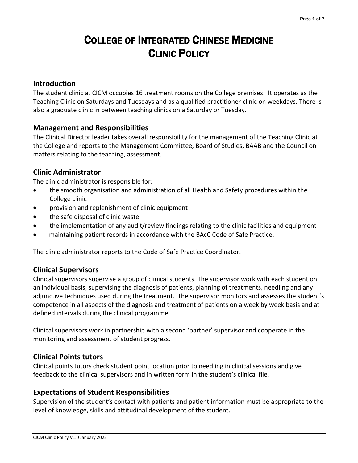# COLLEGE OF INTEGRATED CHINESE MEDICINE CLINIC POLICY

#### **Introduction**

The student clinic at CICM occupies 16 treatment rooms on the College premises. It operates as the Teaching Clinic on Saturdays and Tuesdays and as a qualified practitioner clinic on weekdays. There is also a graduate clinic in between teaching clinics on a Saturday or Tuesday.

#### **Management and Responsibilities**

The Clinical Director leader takes overall responsibility for the management of the Teaching Clinic at the College and reports to the Management Committee, Board of Studies, BAAB and the Council on matters relating to the teaching, assessment.

#### **Clinic Administrator**

The clinic administrator is responsible for:

- the smooth organisation and administration of all Health and Safety procedures within the College clinic
- provision and replenishment of clinic equipment
- the safe disposal of clinic waste
- the implementation of any audit/review findings relating to the clinic facilities and equipment
- maintaining patient records in accordance with the BAcC Code of Safe Practice.

The clinic administrator reports to the Code of Safe Practice Coordinator.

#### **Clinical Supervisors**

Clinical supervisors supervise a group of clinical students. The supervisor work with each student on an individual basis, supervising the diagnosis of patients, planning of treatments, needling and any adjunctive techniques used during the treatment. The supervisor monitors and assesses the student's competence in all aspects of the diagnosis and treatment of patients on a week by week basis and at defined intervals during the clinical programme.

Clinical supervisors work in partnership with a second 'partner' supervisor and cooperate in the monitoring and assessment of student progress.

#### **Clinical Points tutors**

Clinical points tutors check student point location prior to needling in clinical sessions and give feedback to the clinical supervisors and in written form in the student's clinical file.

#### **Expectations of Student Responsibilities**

Supervision of the student's contact with patients and patient information must be appropriate to the level of knowledge, skills and attitudinal development of the student.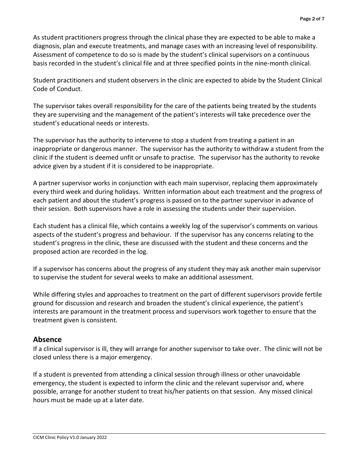As student practitioners progress through the clinical phase they are expected to be able to make a diagnosis, plan and execute treatments, and manage cases with an increasing level of responsibility. Assessment of competence to do so is made by the student's clinical supervisors on a continuous basis recorded in the student's clinical file and at three specified points in the nine-month clinical.

Student practitioners and student observers in the clinic are expected to abide by the Student Clinical Code of Conduct.

The supervisor takes overall responsibility for the care of the patients being treated by the students they are supervising and the management of the patient's interests will take precedence over the student's educational needs or interests.

The supervisor has the authority to intervene to stop a student from treating a patient in an inappropriate or dangerous manner. The supervisor has the authority to withdraw a student from the clinic if the student is deemed unfit or unsafe to practise. The supervisor has the authority to revoke advice given by a student if it is considered to be inappropriate.

A partner supervisor works in conjunction with each main supervisor, replacing them approximately every third week and during holidays. Written information about each treatment and the progress of each patient and about the student's progress is passed on to the partner supervisor in advance of their session. Both supervisors have a role in assessing the students under their supervision.

Each student has a clinical file, which contains a weekly log of the supervisor's comments on various aspects of the student's progress and behaviour. If the supervisor has any concerns relating to the student's progress in the clinic, these are discussed with the student and these concerns and the proposed action are recorded in the log.

If a supervisor has concerns about the progress of any student they may ask another main supervisor to supervise the student for several weeks to make an additional assessment.

While differing styles and approaches to treatment on the part of different supervisors provide fertile ground for discussion and research and broaden the student's clinical experience, the patient's interests are paramount in the treatment process and supervisors work together to ensure that the treatment given is consistent.

## **Absence**

If a clinical supervisor is ill, they will arrange for another supervisor to take over. The clinic will not be closed unless there is a major emergency.

If a student is prevented from attending a clinical session through illness or other unavoidable emergency, the student is expected to inform the clinic and the relevant supervisor and, where possible, arrange for another student to treat his/her patients on that session. Any missed clinical hours must be made up at a later date.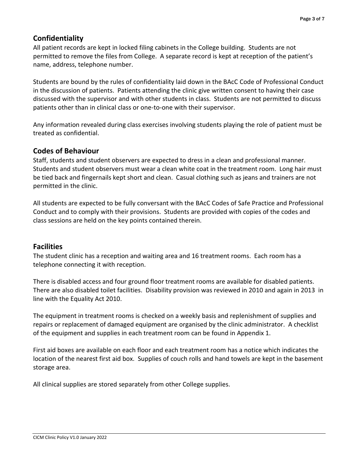# **Confidentiality**

All patient records are kept in locked filing cabinets in the College building. Students are not permitted to remove the files from College. A separate record is kept at reception of the patient's name, address, telephone number.

Students are bound by the rules of confidentiality laid down in the BAcC Code of Professional Conduct in the discussion of patients. Patients attending the clinic give written consent to having their case discussed with the supervisor and with other students in class. Students are not permitted to discuss patients other than in clinical class or one-to-one with their supervisor.

Any information revealed during class exercises involving students playing the role of patient must be treated as confidential.

## **Codes of Behaviour**

Staff, students and student observers are expected to dress in a clean and professional manner. Students and student observers must wear a clean white coat in the treatment room. Long hair must be tied back and fingernails kept short and clean. Casual clothing such as jeans and trainers are not permitted in the clinic.

All students are expected to be fully conversant with the BAcC Codes of Safe Practice and Professional Conduct and to comply with their provisions. Students are provided with copies of the codes and class sessions are held on the key points contained therein.

## **Facilities**

The student clinic has a reception and waiting area and 16 treatment rooms. Each room has a telephone connecting it with reception.

There is disabled access and four ground floor treatment rooms are available for disabled patients. There are also disabled toilet facilities. Disability provision was reviewed in 2010 and again in 2013 in line with the Equality Act 2010.

The equipment in treatment rooms is checked on a weekly basis and replenishment of supplies and repairs or replacement of damaged equipment are organised by the clinic administrator. A checklist of the equipment and supplies in each treatment room can be found in Appendix 1.

First aid boxes are available on each floor and each treatment room has a notice which indicates the location of the nearest first aid box. Supplies of couch rolls and hand towels are kept in the basement storage area.

All clinical supplies are stored separately from other College supplies.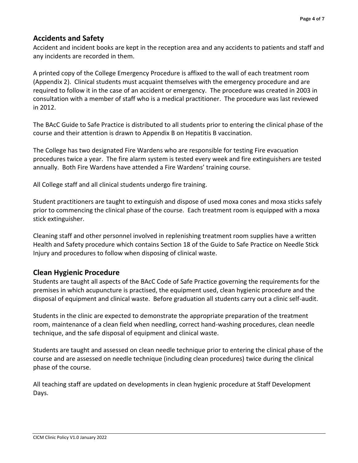# **Accidents and Safety**

Accident and incident books are kept in the reception area and any accidents to patients and staff and any incidents are recorded in them.

A printed copy of the College Emergency Procedure is affixed to the wall of each treatment room (Appendix 2). Clinical students must acquaint themselves with the emergency procedure and are required to follow it in the case of an accident or emergency. The procedure was created in 2003 in consultation with a member of staff who is a medical practitioner. The procedure was last reviewed in 2012.

The BAcC Guide to Safe Practice is distributed to all students prior to entering the clinical phase of the course and their attention is drawn to Appendix B on Hepatitis B vaccination.

The College has two designated Fire Wardens who are responsible for testing Fire evacuation procedures twice a year. The fire alarm system is tested every week and fire extinguishers are tested annually. Both Fire Wardens have attended a Fire Wardens' training course.

All College staff and all clinical students undergo fire training.

Student practitioners are taught to extinguish and dispose of used moxa cones and moxa sticks safely prior to commencing the clinical phase of the course. Each treatment room is equipped with a moxa stick extinguisher.

Cleaning staff and other personnel involved in replenishing treatment room supplies have a written Health and Safety procedure which contains Section 18 of the Guide to Safe Practice on Needle Stick Injury and procedures to follow when disposing of clinical waste.

## **Clean Hygienic Procedure**

Students are taught all aspects of the BAcC Code of Safe Practice governing the requirements for the premises in which acupuncture is practised, the equipment used, clean hygienic procedure and the disposal of equipment and clinical waste. Before graduation all students carry out a clinic self-audit.

Students in the clinic are expected to demonstrate the appropriate preparation of the treatment room, maintenance of a clean field when needling, correct hand-washing procedures, clean needle technique, and the safe disposal of equipment and clinical waste.

Students are taught and assessed on clean needle technique prior to entering the clinical phase of the course and are assessed on needle technique (including clean procedures) twice during the clinical phase of the course.

All teaching staff are updated on developments in clean hygienic procedure at Staff Development Days.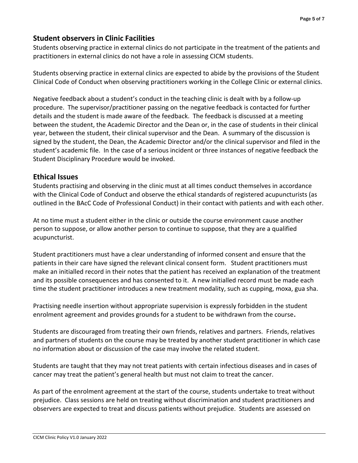# **Student observers in Clinic Facilities**

Students observing practice in external clinics do not participate in the treatment of the patients and practitioners in external clinics do not have a role in assessing CICM students.

Students observing practice in external clinics are expected to abide by the provisions of the Student Clinical Code of Conduct when observing practitioners working in the College Clinic or external clinics.

Negative feedback about a student's conduct in the teaching clinic is dealt with by a follow-up procedure. The supervisor/practitioner passing on the negative feedback is contacted for further details and the student is made aware of the feedback. The feedback is discussed at a meeting between the student, the Academic Director and the Dean or, in the case of students in their clinical year, between the student, their clinical supervisor and the Dean. A summary of the discussion is signed by the student, the Dean, the Academic Director and/or the clinical supervisor and filed in the student's academic file. In the case of a serious incident or three instances of negative feedback the Student Disciplinary Procedure would be invoked.

#### **Ethical Issues**

Students practising and observing in the clinic must at all times conduct themselves in accordance with the Clinical Code of Conduct and observe the ethical standards of registered acupuncturists (as outlined in the BAcC Code of Professional Conduct) in their contact with patients and with each other.

At no time must a student either in the clinic or outside the course environment cause another person to suppose, or allow another person to continue to suppose, that they are a qualified acupuncturist.

Student practitioners must have a clear understanding of informed consent and ensure that the patients in their care have signed the relevant clinical consent form. Student practitioners must make an initialled record in their notes that the patient has received an explanation of the treatment and its possible consequences and has consented to it. A new initialled record must be made each time the student practitioner introduces a new treatment modality, such as cupping, moxa, gua sha.

Practising needle insertion without appropriate supervision is expressly forbidden in the student enrolment agreement and provides grounds for a student to be withdrawn from the course**.** 

Students are discouraged from treating their own friends, relatives and partners. Friends, relatives and partners of students on the course may be treated by another student practitioner in which case no information about or discussion of the case may involve the related student.

Students are taught that they may not treat patients with certain infectious diseases and in cases of cancer may treat the patient's general health but must not claim to treat the cancer.

As part of the enrolment agreement at the start of the course, students undertake to treat without prejudice. Class sessions are held on treating without discrimination and student practitioners and observers are expected to treat and discuss patients without prejudice. Students are assessed on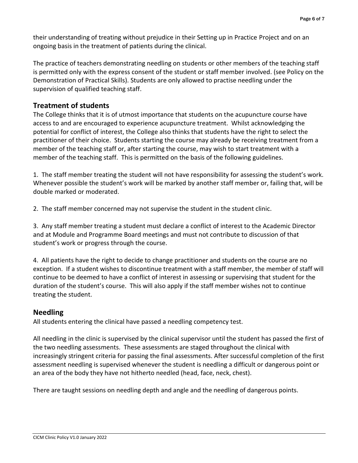their understanding of treating without prejudice in their Setting up in Practice Project and on an ongoing basis in the treatment of patients during the clinical.

The practice of teachers demonstrating needling on students or other members of the teaching staff is permitted only with the express consent of the student or staff member involved. (see Policy on the Demonstration of Practical Skills). Students are only allowed to practise needling under the supervision of qualified teaching staff.

# **Treatment of students**

The College thinks that it is of utmost importance that students on the acupuncture course have access to and are encouraged to experience acupuncture treatment. Whilst acknowledging the potential for conflict of interest, the College also thinks that students have the right to select the practitioner of their choice. Students starting the course may already be receiving treatment from a member of the teaching staff or, after starting the course, may wish to start treatment with a member of the teaching staff. This is permitted on the basis of the following guidelines.

1. The staff member treating the student will not have responsibility for assessing the student's work. Whenever possible the student's work will be marked by another staff member or, failing that, will be double marked or moderated.

2. The staff member concerned may not supervise the student in the student clinic.

3. Any staff member treating a student must declare a conflict of interest to the Academic Director and at Module and Programme Board meetings and must not contribute to discussion of that student's work or progress through the course.

4. All patients have the right to decide to change practitioner and students on the course are no exception. If a student wishes to discontinue treatment with a staff member, the member of staff will continue to be deemed to have a conflict of interest in assessing or supervising that student for the duration of the student's course. This will also apply if the staff member wishes not to continue treating the student.

## **Needling**

All students entering the clinical have passed a needling competency test.

All needling in the clinic is supervised by the clinical supervisor until the student has passed the first of the two needling assessments. These assessments are staged throughout the clinical with increasingly stringent criteria for passing the final assessments. After successful completion of the first assessment needling is supervised whenever the student is needling a difficult or dangerous point or an area of the body they have not hitherto needled (head, face, neck, chest).

There are taught sessions on needling depth and angle and the needling of dangerous points.